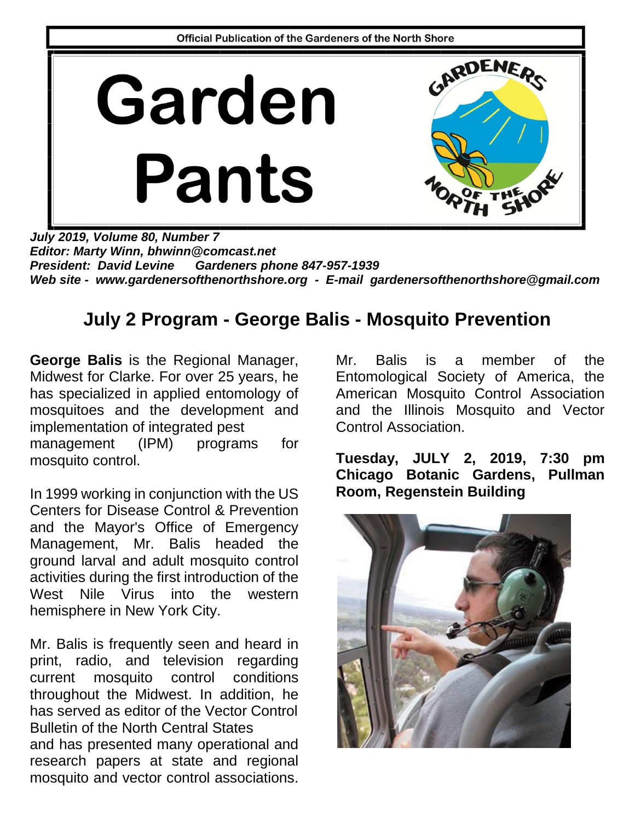

*July 2019, Volume 80, Number 7 Editor: Marty Winn, bhwinn@comcast.net President: David Levine Gardeners phone 847-957-1939 Web site - [www.gardenersofthenorthshore.org](http://www.gardenersofthenorthshore.org/) - E-mail [gardenersofthenorthshore@gmail.com](mailto:gardenersofthenorthshore@gmail.com)*

## **July 2 Program - George Balis - Mosquito Prevention**

**George Balis** is the Regional Manager, Midwest for Clarke. For over 25 years, he has specialized in applied entomology of mosquitoes and the development and implementation of integrated pest management (IPM) programs for mosquito control.

In 1999 working in conjunction with the US Centers for Disease Control & Prevention and the Mayor's Office of Emergency Management, Mr. Balis headed the ground larval and adult mosquito control activities during the first introduction of the West Nile Virus into the western hemisphere in New York City.

Mr. Balis is frequently seen and heard in print, radio, and television regarding current mosquito control conditions throughout the Midwest. In addition, he has served as editor of the Vector Control Bulletin of the North Central States and has presented many operational and research papers at state and regional mosquito and vector control associations.

Mr. Balis is a member of the Entomological Society of America, the American Mosquito Control Association and the Illinois Mosquito and Vector Control Association.

#### **Tuesday, JULY 2, 2019, 7:30 pm Chicago Botanic Gardens, Pullman Room, Regenstein Building**

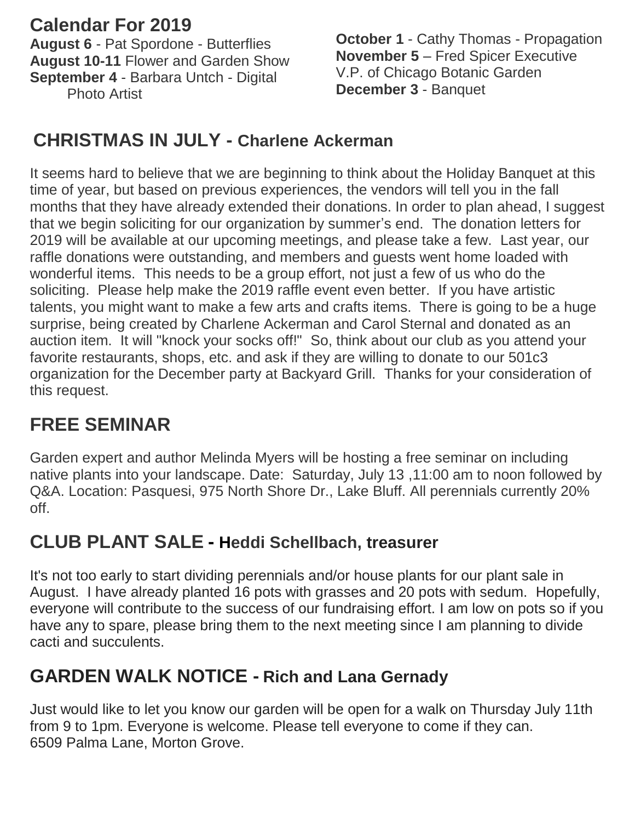## **Calendar For 2019**

**August 6** - Pat Spordone - Butterflies **August 10-11** Flower and Garden Show **September 4** - Barbara Untch - Digital Photo Artist

**October 1** - Cathy Thomas - Propagation **November 5** – Fred Spicer Executive V.P. of Chicago Botanic Garden **December 3** - Banquet

#### **CHRISTMAS IN JULY - Charlene Ackerman**

It seems hard to believe that we are beginning to think about the Holiday Banquet at this time of year, but based on previous experiences, the vendors will tell you in the fall months that they have already extended their donations. In order to plan ahead, I suggest that we begin soliciting for our organization by summer's end. The donation letters for 2019 will be available at our upcoming meetings, and please take a few. Last year, our raffle donations were outstanding, and members and guests went home loaded with wonderful items. This needs to be a group effort, not just a few of us who do the soliciting. Please help make the 2019 raffle event even better. If you have artistic talents, you might want to make a few arts and crafts items. There is going to be a huge surprise, being created by Charlene Ackerman and Carol Sternal and donated as an auction item. It will "knock your socks off!" So, think about our club as you attend your favorite restaurants, shops, etc. and ask if they are willing to donate to our 501c3 organization for the December party at Backyard Grill. Thanks for your consideration of this request.

# **FREE SEMINAR**

Garden expert and author Melinda Myers will be hosting a free seminar on including native plants into your landscape. Date: Saturday, July 13 ,11:00 am to noon followed by Q&A. Location: Pasquesi, 975 North Shore Dr., Lake Bluff. All perennials currently 20% off.

### **CLUB PLANT SALE - Heddi Schellbach, treasurer**

It's not too early to start dividing perennials and/or house plants for our plant sale in August. I have already planted 16 pots with grasses and 20 pots with sedum. Hopefully, everyone will contribute to the success of our fundraising effort. I am low on pots so if you have any to spare, please bring them to the next meeting since I am planning to divide cacti and succulents.

### **GARDEN WALK NOTICE - Rich and Lana Gernady**

Just would like to let you know our garden will be open for a walk on Thursday July 11th from 9 to 1pm. Everyone is welcome. Please tell everyone to come if they can. 6509 Palma Lane, Morton Grove.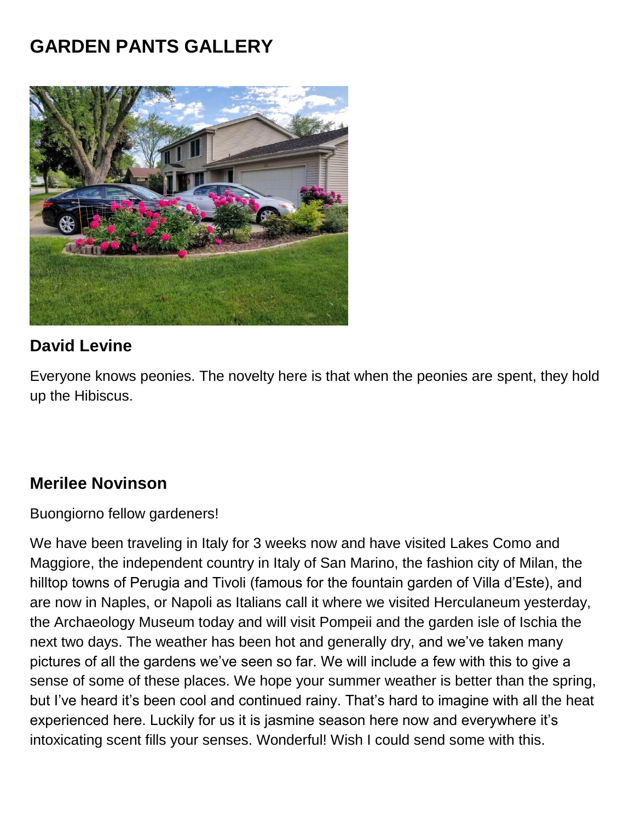# **GARDEN PANTS GALLERY**



#### **David Levine**

Everyone knows peonies. The novelty here is that when the peonies are spent, they hold up the Hibiscus.

#### **Merilee Novinson**

Buongiorno fellow gardeners!

We have been traveling in Italy for 3 weeks now and have visited Lakes Como and Maggiore, the independent country in Italy of San Marino, the fashion city of Milan, the hilltop towns of Perugia and Tivoli (famous for the fountain garden of Villa d'Este), and are now in Naples, or Napoli as Italians call it where we visited Herculaneum yesterday, the Archaeology Museum today and will visit Pompeii and the garden isle of Ischia the next two days. The weather has been hot and generally dry, and we've taken many pictures of all the gardens we've seen so far. We will include a few with this to give a sense of some of these places. We hope your summer weather is better than the spring, but I've heard it's been cool and continued rainy. That's hard to imagine with all the heat experienced here. Luckily for us it is jasmine season here now and everywhere it's intoxicating scent fills your senses. Wonderful! Wish I could send some with this.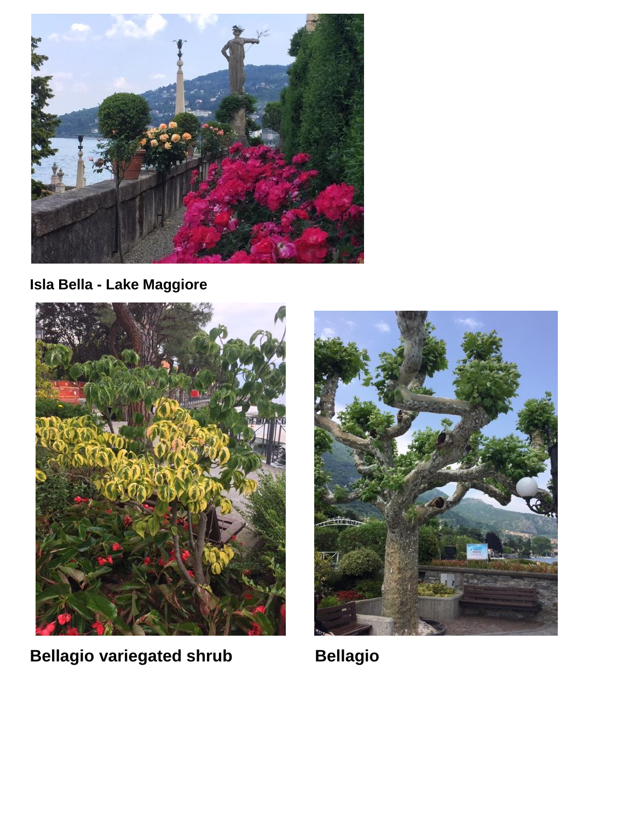

**Isla Bella - Lake Maggiore**



**Bellagio variegated shrub Bellagio** 

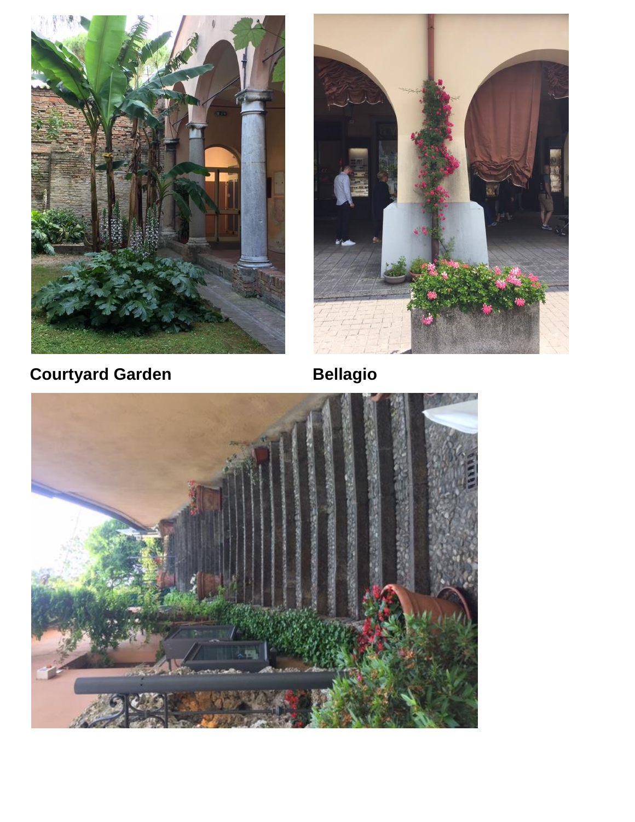



**Courtyard Garden Courtyard Garden** 

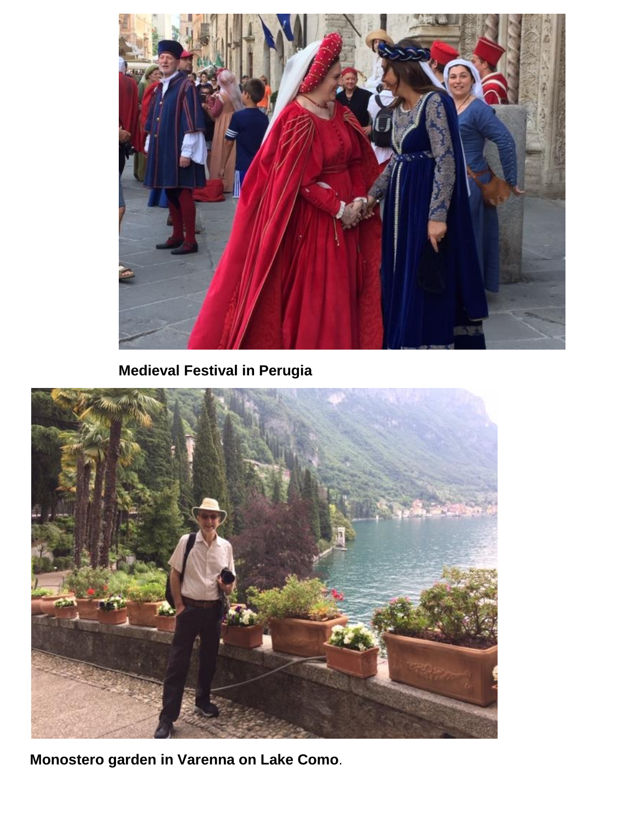

 **Medieval Festival in Perugia**



**Monostero garden in Varenna on Lake Como**.